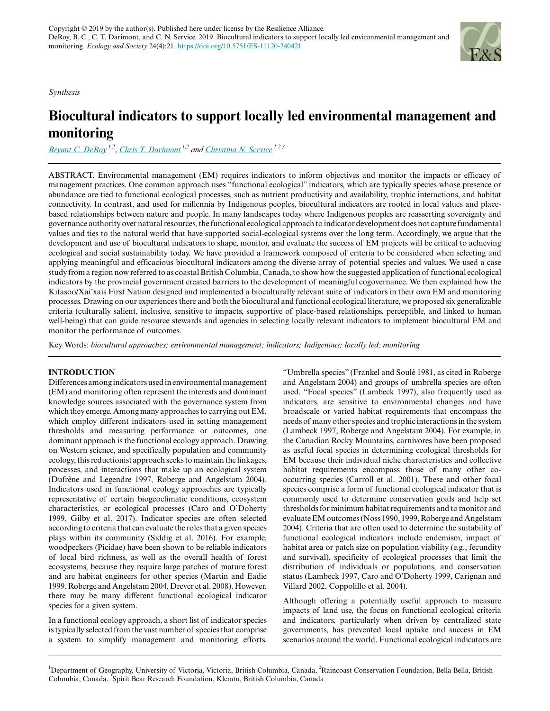*Synthesis*

# **Biocultural indicators to support locally led environmental management and monitoring**

*[Bryant C. DeRoy](mailto:bryantderoy@gmail.com) 1,2* , *[Chris T. Darimont](mailto:darimont@uvic.ca) 1,2 and [Christina N. Service](mailto:christina.service@gmail.com) 1,2,3*

ABSTRACT. Environmental management (EM) requires indicators to inform objectives and monitor the impacts or efficacy of management practices. One common approach uses "functional ecological" indicators, which are typically species whose presence or abundance are tied to functional ecological processes, such as nutrient productivity and availability, trophic interactions, and habitat connectivity. In contrast, and used for millennia by Indigenous peoples, biocultural indicators are rooted in local values and placebased relationships between nature and people. In many landscapes today where Indigenous peoples are reasserting sovereignty and governance authority over natural resources, the functional ecological approach to indicator development does not capture fundamental values and ties to the natural world that have supported social-ecological systems over the long term. Accordingly, we argue that the development and use of biocultural indicators to shape, monitor, and evaluate the success of EM projects will be critical to achieving ecological and social sustainability today. We have provided a framework composed of criteria to be considered when selecting and applying meaningful and efficacious biocultural indicators among the diverse array of potential species and values. We used a case study from a region now referred to as coastal British Columbia, Canada, to show how the suggested application of functional ecological indicators by the provincial government created barriers to the development of meaningful cogovernance. We then explained how the Kitasoo/Xai'xais First Nation designed and implemented a bioculturally relevant suite of indicators in their own EM and monitoring processes. Drawing on our experiences there and both the biocultural and functional ecological literature, we proposed six generalizable criteria (culturally salient, inclusive, sensitive to impacts, supportive of place-based relationships, perceptible, and linked to human well-being) that can guide resource stewards and agencies in selecting locally relevant indicators to implement biocultural EM and monitor the performance of outcomes.

Key Words: *biocultural approaches; environmental management; indicators; Indigenous; locally led; monitoring*

# **INTRODUCTION**

Differences among indicators used in environmental management (EM) and monitoring often represent the interests and dominant knowledge sources associated with the governance system from which they emerge. Among many approaches to carrying out EM, which employ different indicators used in setting management thresholds and measuring performance or outcomes, one dominant approach is the functional ecology approach. Drawing on Western science, and specifically population and community ecology, this reductionist approach seeks to maintain the linkages, processes, and interactions that make up an ecological system (Dufrêne and Legendre 1997, Roberge and Angelstam 2004). Indicators used in functional ecology approaches are typically representative of certain biogeoclimatic conditions, ecosystem characteristics, or ecological processes (Caro and O'Doherty 1999, Gilby et al. 2017). Indicator species are often selected according to criteria that can evaluate the roles that a given species plays within its community (Siddig et al. 2016). For example, woodpeckers (Picidae) have been shown to be reliable indicators of local bird richness, as well as the overall health of forest ecosystems, because they require large patches of mature forest and are habitat engineers for other species (Martin and Eadie 1999, Roberge and Angelstam 2004, Drever et al. 2008). However, there may be many different functional ecological indicator species for a given system.

In a functional ecology approach, a short list of indicator species is typically selected from the vast number of species that comprise a system to simplify management and monitoring efforts.

"Umbrella species" (Frankel and Soulé 1981, as cited in Roberge and Angelstam 2004) and groups of umbrella species are often used. "Focal species" (Lambeck 1997), also frequently used as indicators, are sensitive to environmental changes and have broadscale or varied habitat requirements that encompass the needs of many other species and trophic interactions in the system (Lambeck 1997, Roberge and Angelstam 2004). For example, in the Canadian Rocky Mountains, carnivores have been proposed as useful focal species in determining ecological thresholds for EM because their individual niche characteristics and collective habitat requirements encompass those of many other cooccurring species (Carroll et al. 2001). These and other focal species comprise a form of functional ecological indicator that is commonly used to determine conservation goals and help set thresholds for minimum habitat requirements and to monitor and evaluate EM outcomes (Noss 1990, 1999, Roberge and Angelstam 2004). Criteria that are often used to determine the suitability of functional ecological indicators include endemism, impact of habitat area or patch size on population viability (e.g., fecundity and survival), specificity of ecological processes that limit the distribution of individuals or populations, and conservation status (Lambeck 1997, Caro and O'Doherty 1999, Carignan and Villard 2002, Coppolillo et al. 2004).

Although offering a potentially useful approach to measure impacts of land use, the focus on functional ecological criteria and indicators, particularly when driven by centralized state governments, has prevented local uptake and success in EM scenarios around the world. Functional ecological indicators are

<sup>1</sup>Department of Geography, University of Victoria, Victoria, British Columbia, Canada, <sup>2</sup>Raincoast Conservation Foundation, Bella Bella, British Columbia, Canada, <sup>3</sup>Spirit Bear Research Foundation, Klemtu, British Columbia, Canada

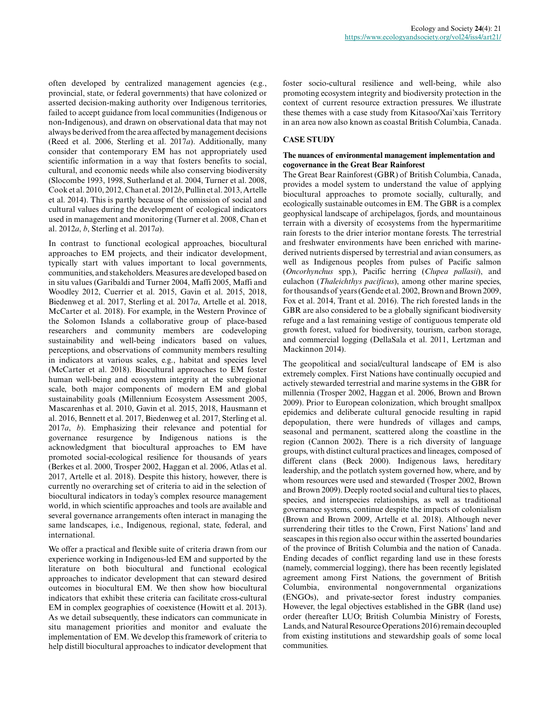often developed by centralized management agencies (e.g., provincial, state, or federal governments) that have colonized or asserted decision-making authority over Indigenous territories, failed to accept guidance from local communities (Indigenous or non-Indigenous), and drawn on observational data that may not always be derived from the area affected by management decisions (Reed et al. 2006, Sterling et al. 2017*a*). Additionally, many consider that contemporary EM has not appropriately used scientific information in a way that fosters benefits to social, cultural, and economic needs while also conserving biodiversity (Slocombe 1993, 1998, Sutherland et al. 2004, Turner et al. 2008, Cook et al. 2010, 2012, Chan et al. 2012*b*, Pullin et al. 2013, Artelle et al. 2014). This is partly because of the omission of social and cultural values during the development of ecological indicators used in management and monitoring (Turner et al. 2008, Chan et al. 2012*a*, *b*, Sterling et al. 2017*a*).

In contrast to functional ecological approaches, biocultural approaches to EM projects, and their indicator development, typically start with values important to local governments, communities, and stakeholders. Measures are developed based on in situ values (Garibaldi and Turner 2004, Maffi 2005, Maffi and Woodley 2012, Cuerrier et al. 2015, Gavin et al. 2015, 2018, Biedenweg et al. 2017, Sterling et al. 2017*a*, Artelle et al. 2018, McCarter et al. 2018). For example, in the Western Province of the Solomon Islands a collaborative group of place-based researchers and community members are codeveloping sustainability and well-being indicators based on values, perceptions, and observations of community members resulting in indicators at various scales, e.g., habitat and species level (McCarter et al. 2018). Biocultural approaches to EM foster human well-being and ecosystem integrity at the subregional scale, both major components of modern EM and global sustainability goals (Millennium Ecosystem Assessment 2005, Mascarenhas et al. 2010, Gavin et al. 2015, 2018, Hausmann et al. 2016, Bennett et al. 2017, Biedenweg et al. 2017, Sterling et al. 2017*a*, *b*). Emphasizing their relevance and potential for governance resurgence by Indigenous nations is the acknowledgment that biocultural approaches to EM have promoted social-ecological resilience for thousands of years (Berkes et al. 2000, Trosper 2002, Haggan et al. 2006, Atlas et al. 2017, Artelle et al. 2018). Despite this history, however, there is currently no overarching set of criteria to aid in the selection of biocultural indicators in today's complex resource management world, in which scientific approaches and tools are available and several governance arrangements often interact in managing the same landscapes, i.e., Indigenous, regional, state, federal, and international.

We offer a practical and flexible suite of criteria drawn from our experience working in Indigenous-led EM and supported by the literature on both biocultural and functional ecological approaches to indicator development that can steward desired outcomes in biocultural EM. We then show how biocultural indicators that exhibit these criteria can facilitate cross-cultural EM in complex geographies of coexistence (Howitt et al. 2013). As we detail subsequently, these indicators can communicate in situ management priorities and monitor and evaluate the implementation of EM. We develop this framework of criteria to help distill biocultural approaches to indicator development that foster socio-cultural resilience and well-being, while also promoting ecosystem integrity and biodiversity protection in the context of current resource extraction pressures. We illustrate these themes with a case study from Kitasoo/Xai'xais Territory in an area now also known as coastal British Columbia, Canada.

## **CASE STUDY**

## **The nuances of environmental management implementation and cogovernance in the Great Bear Rainforest**

The Great Bear Rainforest (GBR) of British Columbia, Canada, provides a model system to understand the value of applying biocultural approaches to promote socially, culturally, and ecologically sustainable outcomes in EM. The GBR is a complex geophysical landscape of archipelagos, fjords, and mountainous terrain with a diversity of ecosystems from the hypermaritime rain forests to the drier interior montane forests. The terrestrial and freshwater environments have been enriched with marinederived nutrients dispersed by terrestrial and avian consumers, as well as Indigenous peoples from pulses of Pacific salmon (*Oncorhynchus* spp.), Pacific herring (*Clupea pallasii*), and eulachon (*Thaleichthys pacificus*), among other marine species, for thousands of years (Gende et al. 2002, Brown and Brown 2009, Fox et al. 2014, Trant et al. 2016). The rich forested lands in the GBR are also considered to be a globally significant biodiversity refuge and a last remaining vestige of contiguous temperate old growth forest, valued for biodiversity, tourism, carbon storage, and commercial logging (DellaSala et al. 2011, Lertzman and Mackinnon 2014).

The geopolitical and social/cultural landscape of EM is also extremely complex. First Nations have continually occupied and actively stewarded terrestrial and marine systems in the GBR for millennia (Trosper 2002, Haggan et al. 2006, Brown and Brown 2009). Prior to European colonization, which brought smallpox epidemics and deliberate cultural genocide resulting in rapid depopulation, there were hundreds of villages and camps, seasonal and permanent, scattered along the coastline in the region (Cannon 2002). There is a rich diversity of language groups, with distinct cultural practices and lineages, composed of different clans (Beck 2000). Indigenous laws, hereditary leadership, and the potlatch system governed how, where, and by whom resources were used and stewarded (Trosper 2002, Brown and Brown 2009). Deeply rooted social and cultural ties to places, species, and interspecies relationships, as well as traditional governance systems, continue despite the impacts of colonialism (Brown and Brown 2009, Artelle et al. 2018). Although never surrendering their titles to the Crown, First Nations' land and seascapes in this region also occur within the asserted boundaries of the province of British Columbia and the nation of Canada. Ending decades of conflict regarding land use in these forests (namely, commercial logging), there has been recently legislated agreement among First Nations, the government of British Columbia, environmental nongovernmental organizations (ENGOs), and private-sector forest industry companies. However, the legal objectives established in the GBR (land use) order (hereafter LUO; British Columbia Ministry of Forests, Lands, and Natural Resource Operations 2016) remain decoupled from existing institutions and stewardship goals of some local communities.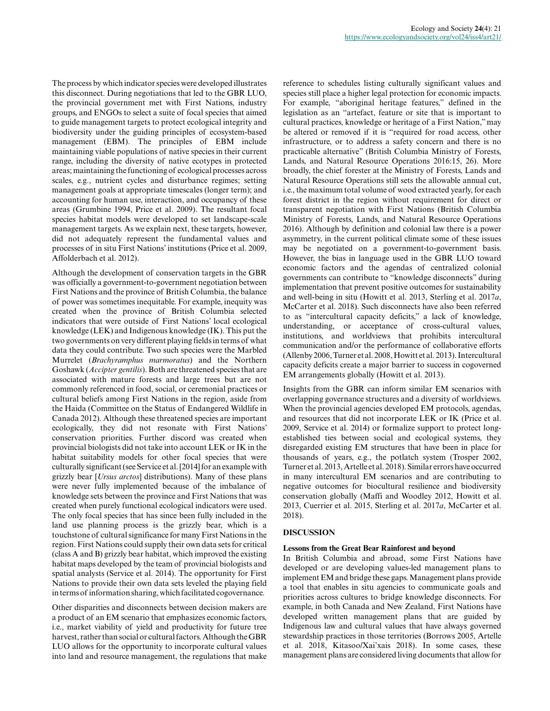The process by which indicator species were developed illustrates this disconnect. During negotiations that led to the GBR LUO, the provincial government met with First Nations, industry groups, and ENGOs to select a suite of focal species that aimed to guide management targets to protect ecological integrity and biodiversity under the guiding principles of ecosystem-based management (EBM). The principles of EBM include maintaining viable populations of native species in their current range, including the diversity of native ecotypes in protected areas; maintaining the functioning of ecological processes across scales, e.g., nutrient cycles and disturbance regimes; setting management goals at appropriate timescales (longer term); and accounting for human use, interaction, and occupancy of these areas (Grumbine 1994, Price et al. 2009). The resultant focal species habitat models were developed to set landscape-scale management targets. As we explain next, these targets, however, did not adequately represent the fundamental values and processes of in situ First Nations' institutions (Price et al. 2009, Affolderbach et al. 2012).

Although the development of conservation targets in the GBR was officially a government-to-government negotiation between First Nations and the province of British Columbia, the balance of power was sometimes inequitable. For example, inequity was created when the province of British Columbia selected indicators that were outside of First Nations' local ecological knowledge (LEK) and Indigenous knowledge (IK). This put the two governments on very different playing fields in terms of what data they could contribute. Two such species were the Marbled Murrelet (*Brachyramphus marmoratus*) and the Northern Goshawk (*Accipter gentilis*). Both are threatened species that are associated with mature forests and large trees but are not commonly referenced in food, social, or ceremonial practices or cultural beliefs among First Nations in the region, aside from the Haida (Committee on the Status of Endangered Wildlife in Canada 2012). Although these threatened species are important ecologically, they did not resonate with First Nations' conservation priorities. Further discord was created when provincial biologists did not take into account LEK or IK in the habitat suitability models for other focal species that were culturally significant (see Service et al. [2014] for an example with grizzly bear [*Ursus arctos*] distributions). Many of these plans were never fully implemented because of the imbalance of knowledge sets between the province and First Nations that was created when purely functional ecological indicators were used. The only focal species that has since been fully included in the land use planning process is the grizzly bear, which is a touchstone of cultural significance for many First Nations in the region. First Nations could supply their own data sets for critical (class A and B) grizzly bear habitat, which improved the existing habitat maps developed by the team of provincial biologists and spatial analysts (Service et al. 2014). The opportunity for First Nations to provide their own data sets leveled the playing field in terms of information sharing, which facilitated cogovernance.

Other disparities and disconnects between decision makers are a product of an EM scenario that emphasizes economic factors, i.e., market viability of yield and productivity for future tree harvest, rather than social or cultural factors. Although the GBR LUO allows for the opportunity to incorporate cultural values into land and resource management, the regulations that make reference to schedules listing culturally significant values and species still place a higher legal protection for economic impacts. For example, "aboriginal heritage features," defined in the legislation as an "artefact, feature or site that is important to cultural practices, knowledge or heritage of a First Nation," may be altered or removed if it is "required for road access, other infrastructure, or to address a safety concern and there is no practicable alternative" (British Columbia Ministry of Forests, Lands, and Natural Resource Operations 2016:15, 26). More broadly, the chief forester at the Ministry of Forests, Lands and Natural Resource Operations still sets the allowable annual cut, i.e., the maximum total volume of wood extracted yearly, for each forest district in the region without requirement for direct or transparent negotiation with First Nations (British Columbia Ministry of Forests, Lands, and Natural Resource Operations 2016). Although by definition and colonial law there is a power asymmetry, in the current political climate some of these issues may be negotiated on a government-to-government basis. However, the bias in language used in the GBR LUO toward economic factors and the agendas of centralized colonial governments can contribute to "knowledge disconnects" during implementation that prevent positive outcomes for sustainability and well-being in situ (Howitt et al. 2013, Sterling et al. 2017*a*, McCarter et al. 2018). Such disconnects have also been referred to as "intercultural capacity deficits," a lack of knowledge, understanding, or acceptance of cross-cultural values, institutions, and worldviews that prohibits intercultural communication and/or the performance of collaborative efforts (Allenby 2006, Turner et al. 2008, Howitt et al. 2013). Intercultural capacity deficits create a major barrier to success in cogoverned EM arrangements globally (Howitt et al. 2013).

Insights from the GBR can inform similar EM scenarios with overlapping governance structures and a diversity of worldviews. When the provincial agencies developed EM protocols, agendas, and resources that did not incorporate LEK or IK (Price et al. 2009, Service et al. 2014) or formalize support to protect longestablished ties between social and ecological systems, they disregarded existing EM structures that have been in place for thousands of years, e.g., the potlatch system (Trosper 2002, Turner et al. 2013, Artelle et al. 2018). Similar errors have occurred in many intercultural EM scenarios and are contributing to negative outcomes for biocultural resilience and biodiversity conservation globally (Maffi and Woodley 2012, Howitt et al. 2013, Cuerrier et al. 2015, Sterling et al. 2017*a*, McCarter et al. 2018).

# **DISCUSSION**

## **Lessons from the Great Bear Rainforest and beyond**

In British Columbia and abroad, some First Nations have developed or are developing values-led management plans to implement EM and bridge these gaps. Management plans provide a tool that enables in situ agencies to communicate goals and priorities across cultures to bridge knowledge disconnects. For example, in both Canada and New Zealand, First Nations have developed written management plans that are guided by Indigenous law and cultural values that have always governed stewardship practices in those territories (Borrows 2005, Artelle et al. 2018, Kitasoo/Xai'xais 2018). In some cases, these management plans are considered living documents that allow for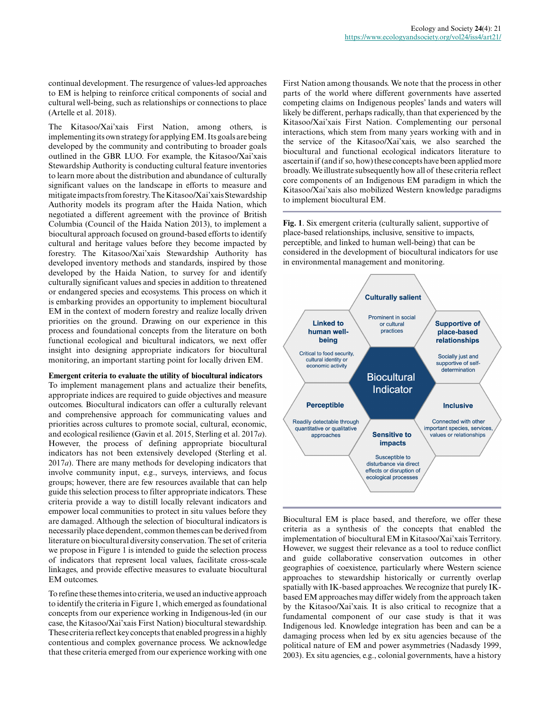continual development. The resurgence of values-led approaches to EM is helping to reinforce critical components of social and cultural well-being, such as relationships or connections to place (Artelle et al. 2018).

The Kitasoo/Xai'xais First Nation, among others, is implementing its own strategy for applying EM. Its goals are being developed by the community and contributing to broader goals outlined in the GBR LUO. For example, the Kitasoo/Xai'xais Stewardship Authority is conducting cultural feature inventories to learn more about the distribution and abundance of culturally significant values on the landscape in efforts to measure and mitigate impacts from forestry. The Kitasoo/Xai'xais Stewardship Authority models its program after the Haida Nation, which negotiated a different agreement with the province of British Columbia (Council of the Haida Nation 2013), to implement a biocultural approach focused on ground-based efforts to identify cultural and heritage values before they become impacted by forestry. The Kitasoo/Xai'xais Stewardship Authority has developed inventory methods and standards, inspired by those developed by the Haida Nation, to survey for and identify culturally significant values and species in addition to threatened or endangered species and ecosystems. This process on which it is embarking provides an opportunity to implement biocultural EM in the context of modern forestry and realize locally driven priorities on the ground. Drawing on our experience in this process and foundational concepts from the literature on both functional ecological and bicultural indicators, we next offer insight into designing appropriate indicators for biocultural monitoring, an important starting point for locally driven EM.

## **Emergent criteria to evaluate the utility of biocultural indicators**

To implement management plans and actualize their benefits, appropriate indices are required to guide objectives and measure outcomes. Biocultural indicators can offer a culturally relevant and comprehensive approach for communicating values and priorities across cultures to promote social, cultural, economic, and ecological resilience (Gavin et al. 2015, Sterling et al. 2017*a*). However, the process of defining appropriate biocultural indicators has not been extensively developed (Sterling et al. 2017*a*). There are many methods for developing indicators that involve community input, e.g., surveys, interviews, and focus groups; however, there are few resources available that can help guide this selection process to filter appropriate indicators. These criteria provide a way to distill locally relevant indicators and empower local communities to protect in situ values before they are damaged. Although the selection of biocultural indicators is necessarily place dependent, common themes can be derived from literature on biocultural diversity conservation. The set of criteria we propose in Figure 1 is intended to guide the selection process of indicators that represent local values, facilitate cross-scale linkages, and provide effective measures to evaluate biocultural EM outcomes.

To refine these themes into criteria, we used an inductive approach to identify the criteria in Figure 1, which emerged as foundational concepts from our experience working in Indigenous-led (in our case, the Kitasoo/Xai'xais First Nation) biocultural stewardship. These criteria reflect key concepts that enabled progress in a highly contentious and complex governance process. We acknowledge that these criteria emerged from our experience working with one

First Nation among thousands. We note that the process in other parts of the world where different governments have asserted competing claims on Indigenous peoples' lands and waters will likely be different, perhaps radically, than that experienced by the Kitasoo/Xai'xais First Nation. Complementing our personal interactions, which stem from many years working with and in the service of the Kitasoo/Xai'xais, we also searched the biocultural and functional ecological indicators literature to ascertain if (and if so, how) these concepts have been applied more broadly. We illustrate subsequently how all of these criteria reflect core components of an Indigenous EM paradigm in which the Kitasoo/Xai'xais also mobilized Western knowledge paradigms to implement biocultural EM.

**Fig. 1**. Six emergent criteria (culturally salient, supportive of place-based relationships, inclusive, sensitive to impacts, perceptible, and linked to human well-being) that can be considered in the development of biocultural indicators for use in environmental management and monitoring.



Biocultural EM is place based, and therefore, we offer these criteria as a synthesis of the concepts that enabled the implementation of biocultural EM in Kitasoo/Xai'xais Territory. However, we suggest their relevance as a tool to reduce conflict and guide collaborative conservation outcomes in other geographies of coexistence, particularly where Western science approaches to stewardship historically or currently overlap spatially with IK-based approaches. We recognize that purely IKbased EM approaches may differ widely from the approach taken by the Kitasoo/Xai'xais. It is also critical to recognize that a fundamental component of our case study is that it was Indigenous led. Knowledge integration has been and can be a damaging process when led by ex situ agencies because of the political nature of EM and power asymmetries (Nadasdy 1999, 2003). Ex situ agencies, e.g., colonial governments, have a history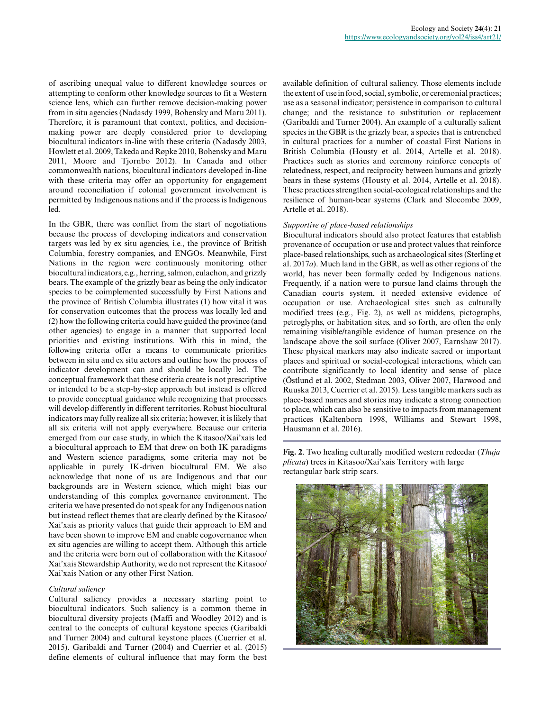of ascribing unequal value to different knowledge sources or attempting to conform other knowledge sources to fit a Western science lens, which can further remove decision-making power from in situ agencies (Nadasdy 1999, Bohensky and Maru 2011). Therefore, it is paramount that context, politics, and decisionmaking power are deeply considered prior to developing biocultural indicators in-line with these criteria (Nadasdy 2003, Howlett et al. 2009, Takeda and Røpke 2010, Bohensky and Maru 2011, Moore and Tjornbo 2012). In Canada and other commonwealth nations, biocultural indicators developed in-line with these criteria may offer an opportunity for engagement around reconciliation if colonial government involvement is permitted by Indigenous nations and if the process is Indigenous led.

In the GBR, there was conflict from the start of negotiations because the process of developing indicators and conservation targets was led by ex situ agencies, i.e., the province of British Columbia, forestry companies, and ENGOs. Meanwhile, First Nations in the region were continuously monitoring other biocultural indicators, e.g., herring, salmon, eulachon, and grizzly bears. The example of the grizzly bear as being the only indicator species to be coimplemented successfully by First Nations and the province of British Columbia illustrates (1) how vital it was for conservation outcomes that the process was locally led and (2) how the following criteria could have guided the province (and other agencies) to engage in a manner that supported local priorities and existing institutions. With this in mind, the following criteria offer a means to communicate priorities between in situ and ex situ actors and outline how the process of indicator development can and should be locally led. The conceptual framework that these criteria create is not prescriptive or intended to be a step-by-step approach but instead is offered to provide conceptual guidance while recognizing that processes will develop differently in different territories. Robust biocultural indicators may fully realize all six criteria; however, it is likely that all six criteria will not apply everywhere. Because our criteria emerged from our case study, in which the Kitasoo/Xai'xais led a biocultural approach to EM that drew on both IK paradigms and Western science paradigms, some criteria may not be applicable in purely IK-driven biocultural EM. We also acknowledge that none of us are Indigenous and that our backgrounds are in Western science, which might bias our understanding of this complex governance environment. The criteria we have presented do not speak for any Indigenous nation but instead reflect themes that are clearly defined by the Kitasoo/ Xai'xais as priority values that guide their approach to EM and have been shown to improve EM and enable cogovernance when ex situ agencies are willing to accept them. Although this article and the criteria were born out of collaboration with the Kitasoo/ Xai'xais Stewardship Authority, we do not represent the Kitasoo/ Xai'xais Nation or any other First Nation.

## *Cultural saliency*

Cultural saliency provides a necessary starting point to biocultural indicators. Such saliency is a common theme in biocultural diversity projects (Maffi and Woodley 2012) and is central to the concepts of cultural keystone species (Garibaldi and Turner 2004) and cultural keystone places (Cuerrier et al. 2015). Garibaldi and Turner (2004) and Cuerrier et al. (2015) define elements of cultural influence that may form the best

available definition of cultural saliency. Those elements include the extent of use in food, social, symbolic, or ceremonial practices; use as a seasonal indicator; persistence in comparison to cultural change; and the resistance to substitution or replacement (Garibaldi and Turner 2004). An example of a culturally salient species in the GBR is the grizzly bear, a species that is entrenched in cultural practices for a number of coastal First Nations in British Columbia (Housty et al. 2014, Artelle et al. 2018). Practices such as stories and ceremony reinforce concepts of relatedness, respect, and reciprocity between humans and grizzly bears in these systems (Housty et al. 2014, Artelle et al. 2018). These practices strengthen social-ecological relationships and the resilience of human-bear systems (Clark and Slocombe 2009, Artelle et al. 2018).

## *Supportive of place-based relationships*

Biocultural indicators should also protect features that establish provenance of occupation or use and protect values that reinforce place-based relationships, such as archaeological sites (Sterling et al. 2017*a*). Much land in the GBR, as well as other regions of the world, has never been formally ceded by Indigenous nations. Frequently, if a nation were to pursue land claims through the Canadian courts system, it needed extensive evidence of occupation or use. Archaeological sites such as culturally modified trees (e.g., Fig. 2), as well as middens, pictographs, petroglyphs, or habitation sites, and so forth, are often the only remaining visible/tangible evidence of human presence on the landscape above the soil surface (Oliver 2007, Earnshaw 2017). These physical markers may also indicate sacred or important places and spiritual or social-ecological interactions, which can contribute significantly to local identity and sense of place (Östlund et al. 2002, Stedman 2003, Oliver 2007, Harwood and Ruuska 2013, Cuerrier et al. 2015). Less tangible markers such as place-based names and stories may indicate a strong connection to place, which can also be sensitive to impacts from management practices (Kaltenborn 1998, Williams and Stewart 1998, Hausmann et al. 2016).

**Fig. 2**. Two healing culturally modified western redcedar (*Thuja plicata*) trees in Kitasoo/Xai'xais Territory with large rectangular bark strip scars.

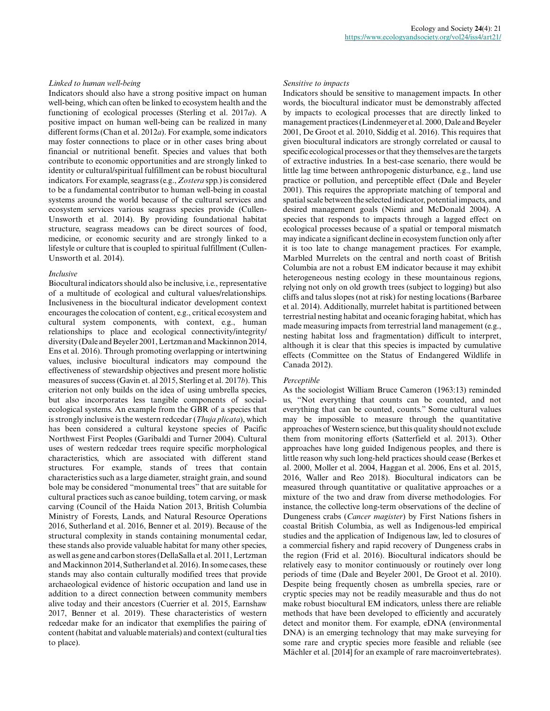## *Linked to human well-being*

Indicators should also have a strong positive impact on human well-being, which can often be linked to ecosystem health and the functioning of ecological processes (Sterling et al. 2017*a*). A positive impact on human well-being can be realized in many different forms (Chan et al. 2012*a*). For example, some indicators may foster connections to place or in other cases bring about financial or nutritional benefit. Species and values that both contribute to economic opportunities and are strongly linked to identity or cultural/spiritual fulfillment can be robust biocultural indicators. For example, seagrass (e.g., *Zostera* spp.) is considered to be a fundamental contributor to human well-being in coastal systems around the world because of the cultural services and ecosystem services various seagrass species provide (Cullen-Unsworth et al. 2014). By providing foundational habitat structure, seagrass meadows can be direct sources of food, medicine, or economic security and are strongly linked to a lifestyle or culture that is coupled to spiritual fulfillment (Cullen-Unsworth et al. 2014).

#### *Inclusive*

Biocultural indicators should also be inclusive, i.e., representative of a multitude of ecological and cultural values/relationships. Inclusiveness in the biocultural indicator development context encourages the colocation of content, e.g., critical ecosystem and cultural system components, with context, e.g., human relationships to place and ecological connectivity/integrity/ diversity (Dale and Beyeler 2001, Lertzman and Mackinnon 2014, Ens et al. 2016). Through promoting overlapping or intertwining values, inclusive biocultural indicators may compound the effectiveness of stewardship objectives and present more holistic measures of success (Gavin et. al 2015, Sterling et al. 2017*b*). This criterion not only builds on the idea of using umbrella species, but also incorporates less tangible components of socialecological systems. An example from the GBR of a species that is strongly inclusive is the western redcedar (*Thuja plicata*), which has been considered a cultural keystone species of Pacific Northwest First Peoples (Garibaldi and Turner 2004). Cultural uses of western redcedar trees require specific morphological characteristics, which are associated with different stand structures. For example, stands of trees that contain characteristics such as a large diameter, straight grain, and sound bole may be considered "monumental trees" that are suitable for cultural practices such as canoe building, totem carving, or mask carving (Council of the Haida Nation 2013, British Columbia Ministry of Forests, Lands, and Natural Resource Operations 2016, Sutherland et al. 2016, Benner et al. 2019). Because of the structural complexity in stands containing monumental cedar, these stands also provide valuable habitat for many other species, as well as gene and carbon stores (DellaSalla et al. 2011, Lertzman and Mackinnon 2014, Sutherland et al. 2016). In some cases, these stands may also contain culturally modified trees that provide archaeological evidence of historic occupation and land use in addition to a direct connection between community members alive today and their ancestors (Cuerrier et al. 2015, Earnshaw 2017, Benner et al. 2019). These characteristics of western redcedar make for an indicator that exemplifies the pairing of content (habitat and valuable materials) and context (cultural ties to place).

#### *Sensitive to impacts*

Indicators should be sensitive to management impacts. In other words, the biocultural indicator must be demonstrably affected by impacts to ecological processes that are directly linked to management practices (Lindenmeyer et al. 2000, Dale and Beyeler 2001, De Groot et al. 2010, Siddig et al. 2016). This requires that given biocultural indicators are strongly correlated or causal to specific ecological processes or that they themselves are the targets of extractive industries. In a best-case scenario, there would be little lag time between anthropogenic disturbance, e.g., land use practice or pollution, and perceptible effect (Dale and Beyeler 2001). This requires the appropriate matching of temporal and spatial scale between the selected indicator, potential impacts, and desired management goals (Niemi and McDonald 2004). A species that responds to impacts through a lagged effect on ecological processes because of a spatial or temporal mismatch may indicate a significant decline in ecosystem function only after it is too late to change management practices. For example, Marbled Murrelets on the central and north coast of British Columbia are not a robust EM indicator because it may exhibit heterogeneous nesting ecology in these mountainous regions, relying not only on old growth trees (subject to logging) but also cliffs and talus slopes (not at risk) for nesting locations (Barbaree et al. 2014). Additionally, murrelet habitat is partitioned between terrestrial nesting habitat and oceanic foraging habitat, which has made measuring impacts from terrestrial land management (e.g., nesting habitat loss and fragmentation) difficult to interpret, although it is clear that this species is impacted by cumulative effects (Committee on the Status of Endangered Wildlife in Canada 2012).

#### *Perceptible*

As the sociologist William Bruce Cameron (1963:13) reminded us, "Not everything that counts can be counted, and not everything that can be counted, counts." Some cultural values may be impossible to measure through the quantitative approaches of Western science, but this quality should not exclude them from monitoring efforts (Satterfield et al. 2013). Other approaches have long guided Indigenous peoples, and there is little reason why such long-held practices should cease (Berkes et al. 2000, Moller et al. 2004, Haggan et al. 2006, Ens et al. 2015, 2016, Waller and Reo 2018). Biocultural indicators can be measured through quantitative or qualitative approaches or a mixture of the two and draw from diverse methodologies. For instance, the collective long-term observations of the decline of Dungeness crabs (*Cancer magister*) by First Nations fishers in coastal British Columbia, as well as Indigenous-led empirical studies and the application of Indigenous law, led to closures of a commercial fishery and rapid recovery of Dungeness crabs in the region (Frid et al. 2016). Biocultural indicators should be relatively easy to monitor continuously or routinely over long periods of time (Dale and Beyeler 2001, De Groot et al. 2010). Despite being frequently chosen as umbrella species, rare or cryptic species may not be readily measurable and thus do not make robust biocultural EM indicators, unless there are reliable methods that have been developed to efficiently and accurately detect and monitor them. For example, eDNA (environmental DNA) is an emerging technology that may make surveying for some rare and cryptic species more feasible and reliable (see Mächler et al. [2014] for an example of rare macroinvertebrates).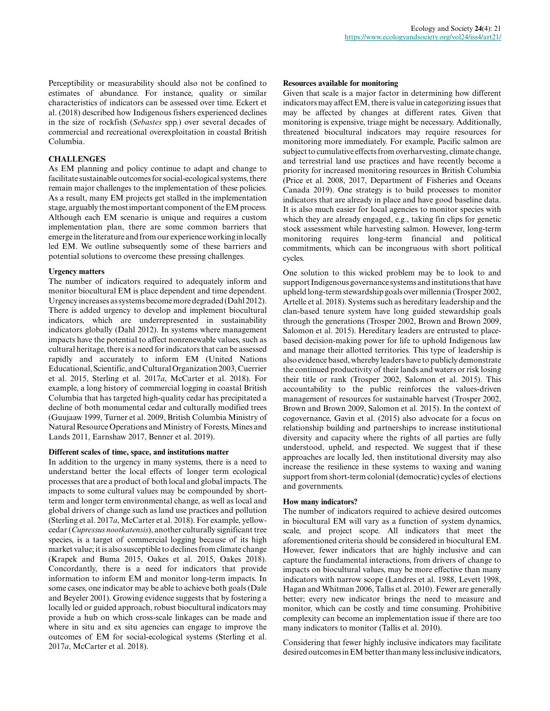Perceptibility or measurability should also not be confined to estimates of abundance. For instance, quality or similar characteristics of indicators can be assessed over time. Eckert et al. (2018) described how Indigenous fishers experienced declines in the size of rockfish (*Sebastes* spp.) over several decades of commercial and recreational overexploitation in coastal British Columbia.

## **CHALLENGES**

As EM planning and policy continue to adapt and change to facilitate sustainable outcomes for social-ecological systems, there remain major challenges to the implementation of these policies. As a result, many EM projects get stalled in the implementation stage, arguably the most important component of the EM process. Although each EM scenario is unique and requires a custom implementation plan, there are some common barriers that emerge in the literature and from our experience working in locally led EM. We outline subsequently some of these barriers and potential solutions to overcome these pressing challenges.

## **Urgency matters**

The number of indicators required to adequately inform and monitor biocultural EM is place dependent and time dependent. Urgency increases as systems become more degraded (Dahl 2012). There is added urgency to develop and implement biocultural indicators, which are underrepresented in sustainability indicators globally (Dahl 2012). In systems where management impacts have the potential to affect nonrenewable values, such as cultural heritage, there is a need for indicators that can be assessed rapidly and accurately to inform EM (United Nations Educational, Scientific, and Cultural Organization 2003, Cuerrier et al. 2015, Sterling et al. 2017*a*, McCarter et al. 2018). For example, a long history of commercial logging in coastal British Columbia that has targeted high-quality cedar has precipitated a decline of both monumental cedar and culturally modified trees (Guujaaw 1999, Turner et al. 2009, British Columbia Ministry of Natural Resource Operations and Ministry of Forests, Mines and Lands 2011, Earnshaw 2017, Benner et al. 2019).

## **Different scales of time, space, and institutions matter**

In addition to the urgency in many systems, there is a need to understand better the local effects of longer term ecological processes that are a product of both local and global impacts. The impacts to some cultural values may be compounded by shortterm and longer term environmental change, as well as local and global drivers of change such as land use practices and pollution (Sterling et al. 2017*a*, McCarter et al. 2018). For example, yellowcedar (*Cupressus nootkatensis*), another culturally significant tree species, is a target of commercial logging because of its high market value; it is also susceptible to declines from climate change (Krapek and Buma 2015, Oakes et al. 2015, Oakes 2018). Concordantly, there is a need for indicators that provide information to inform EM and monitor long-term impacts. In some cases, one indicator may be able to achieve both goals (Dale and Beyeler 2001). Growing evidence suggests that by fostering a locally led or guided approach, robust biocultural indicators may provide a hub on which cross-scale linkages can be made and where in situ and ex situ agencies can engage to improve the outcomes of EM for social-ecological systems (Sterling et al. 2017*a*, McCarter et al. 2018).

#### **Resources available for monitoring**

Given that scale is a major factor in determining how different indicators may affect EM, there is value in categorizing issues that may be affected by changes at different rates. Given that monitoring is expensive, triage might be necessary. Additionally, threatened biocultural indicators may require resources for monitoring more immediately. For example, Pacific salmon are subject to cumulative effects from overharvesting, climate change, and terrestrial land use practices and have recently become a priority for increased monitoring resources in British Columbia (Price et al. 2008, 2017, Department of Fisheries and Oceans Canada 2019). One strategy is to build processes to monitor indicators that are already in place and have good baseline data. It is also much easier for local agencies to monitor species with which they are already engaged, e.g., taking fin clips for genetic stock assessment while harvesting salmon. However, long-term monitoring requires long-term financial and political commitments, which can be incongruous with short political cycles.

One solution to this wicked problem may be to look to and support Indigenous governance systems and institutions that have upheld long-term stewardship goals over millennia (Trosper 2002, Artelle et al. 2018). Systems such as hereditary leadership and the clan-based tenure system have long guided stewardship goals through the generations (Trosper 2002, Brown and Brown 2009, Salomon et al. 2015). Hereditary leaders are entrusted to placebased decision-making power for life to uphold Indigenous law and manage their allotted territories. This type of leadership is also evidence based, whereby leaders have to publicly demonstrate the continued productivity of their lands and waters or risk losing their title or rank (Trosper 2002, Salomon et al. 2015). This accountability to the public reinforces the values-driven management of resources for sustainable harvest (Trosper 2002, Brown and Brown 2009, Salomon et al. 2015). In the context of cogovernance, Gavin et al. (2015) also advocate for a focus on relationship building and partnerships to increase institutional diversity and capacity where the rights of all parties are fully understood, upheld, and respected. We suggest that if these approaches are locally led, then institutional diversity may also increase the resilience in these systems to waxing and waning support from short-term colonial (democratic) cycles of elections and governments.

#### **How many indicators?**

The number of indicators required to achieve desired outcomes in biocultural EM will vary as a function of system dynamics, scale, and project scope. All indicators that meet the aforementioned criteria should be considered in biocultural EM. However, fewer indicators that are highly inclusive and can capture the fundamental interactions, from drivers of change to impacts on biocultural values, may be more effective than many indicators with narrow scope (Landres et al. 1988, Levett 1998, Hagan and Whitman 2006, Tallis et al. 2010). Fewer are generally better; every new indicator brings the need to measure and monitor, which can be costly and time consuming. Prohibitive complexity can become an implementation issue if there are too many indicators to monitor (Tallis et al. 2010).

Considering that fewer highly inclusive indicators may facilitate desired outcomes in EM better than many less inclusive indicators,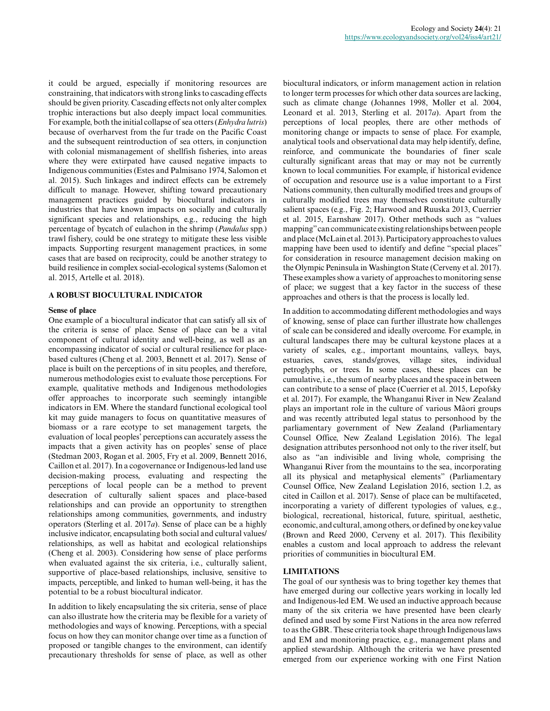it could be argued, especially if monitoring resources are constraining, that indicators with strong links to cascading effects should be given priority. Cascading effects not only alter complex trophic interactions but also deeply impact local communities. For example, both the initial collapse of sea otters (*Enhydra lutris*) because of overharvest from the fur trade on the Pacific Coast and the subsequent reintroduction of sea otters, in conjunction with colonial mismanagement of shellfish fisheries, into areas where they were extirpated have caused negative impacts to Indigenous communities (Estes and Palmisano 1974, Salomon et al. 2015). Such linkages and indirect effects can be extremely difficult to manage. However, shifting toward precautionary management practices guided by biocultural indicators in industries that have known impacts on socially and culturally significant species and relationships, e.g., reducing the high percentage of bycatch of eulachon in the shrimp (*Pandalus* spp.) trawl fishery, could be one strategy to mitigate these less visible impacts. Supporting resurgent management practices, in some cases that are based on reciprocity, could be another strategy to build resilience in complex social-ecological systems (Salomon et al. 2015, Artelle et al. 2018).

# **A ROBUST BIOCULTURAL INDICATOR**

#### **Sense of place**

One example of a biocultural indicator that can satisfy all six of the criteria is sense of place. Sense of place can be a vital component of cultural identity and well-being, as well as an encompassing indicator of social or cultural resilience for placebased cultures (Cheng et al. 2003, Bennett et al. 2017). Sense of place is built on the perceptions of in situ peoples, and therefore, numerous methodologies exist to evaluate those perceptions. For example, qualitative methods and Indigenous methodologies offer approaches to incorporate such seemingly intangible indicators in EM. Where the standard functional ecological tool kit may guide managers to focus on quantitative measures of biomass or a rare ecotype to set management targets, the evaluation of local peoples' perceptions can accurately assess the impacts that a given activity has on peoples' sense of place (Stedman 2003, Rogan et al. 2005, Fry et al. 2009, Bennett 2016, Caillon et al. 2017). In a cogovernance or Indigenous-led land use decision-making process, evaluating and respecting the perceptions of local people can be a method to prevent desecration of culturally salient spaces and place-based relationships and can provide an opportunity to strengthen relationships among communities, governments, and industry operators (Sterling et al. 2017*a*). Sense of place can be a highly inclusive indicator, encapsulating both social and cultural values/ relationships, as well as habitat and ecological relationships (Cheng et al. 2003). Considering how sense of place performs when evaluated against the six criteria, i.e., culturally salient, supportive of place-based relationships, inclusive, sensitive to impacts, perceptible, and linked to human well-being, it has the potential to be a robust biocultural indicator.

In addition to likely encapsulating the six criteria, sense of place can also illustrate how the criteria may be flexible for a variety of methodologies and ways of knowing. Perceptions, with a special focus on how they can monitor change over time as a function of proposed or tangible changes to the environment, can identify precautionary thresholds for sense of place, as well as other

biocultural indicators, or inform management action in relation to longer term processes for which other data sources are lacking, such as climate change (Johannes 1998, Moller et al. 2004, Leonard et al. 2013, Sterling et al. 2017*a*). Apart from the perceptions of local peoples, there are other methods of monitoring change or impacts to sense of place. For example, analytical tools and observational data may help identify, define, reinforce, and communicate the boundaries of finer scale culturally significant areas that may or may not be currently known to local communities. For example, if historical evidence of occupation and resource use is a value important to a First Nations community, then culturally modified trees and groups of culturally modified trees may themselves constitute culturally salient spaces (e.g., Fig. 2; Harwood and Ruuska 2013, Cuerrier et al. 2015, Earnshaw 2017). Other methods such as "values mapping" can communicate existing relationships between people and place (McLain et al. 2013). Participatory approaches to values mapping have been used to identify and define "special places" for consideration in resource management decision making on the Olympic Peninsula in Washington State (Cerveny et al. 2017). These examples show a variety of approaches to monitoring sense of place; we suggest that a key factor in the success of these approaches and others is that the process is locally led.

In addition to accommodating different methodologies and ways of knowing, sense of place can further illustrate how challenges of scale can be considered and ideally overcome. For example, in cultural landscapes there may be cultural keystone places at a variety of scales, e.g., important mountains, valleys, bays, estuaries, caves, stands/groves, village sites, individual petroglyphs, or trees. In some cases, these places can be cumulative, i.e., the sum of nearby places and the space in between can contribute to a sense of place (Cuerrier et al. 2015, Lepofsky et al. 2017). For example, the Whanganui River in New Zealand plays an important role in the culture of various Mâori groups and was recently attributed legal status to personhood by the parliamentary government of New Zealand (Parliamentary Counsel Office, New Zealand Legislation 2016). The legal designation attributes personhood not only to the river itself, but also as "an indivisible and living whole, comprising the Whanganui River from the mountains to the sea, incorporating all its physical and metaphysical elements" (Parliamentary Counsel Office, New Zealand Legislation 2016, section 1.2, as cited in Caillon et al. 2017). Sense of place can be multifaceted, incorporating a variety of different typologies of values, e.g., biological, recreational, historical, future, spiritual, aesthetic, economic, and cultural, among others, or defined by one key value (Brown and Reed 2000, Cerveny et al. 2017). This flexibility enables a custom and local approach to address the relevant priorities of communities in biocultural EM.

## **LIMITATIONS**

The goal of our synthesis was to bring together key themes that have emerged during our collective years working in locally led and Indigenous-led EM. We used an inductive approach because many of the six criteria we have presented have been clearly defined and used by some First Nations in the area now referred to as the GBR. These criteria took shape through Indigenous laws and EM and monitoring practice, e.g., management plans and applied stewardship. Although the criteria we have presented emerged from our experience working with one First Nation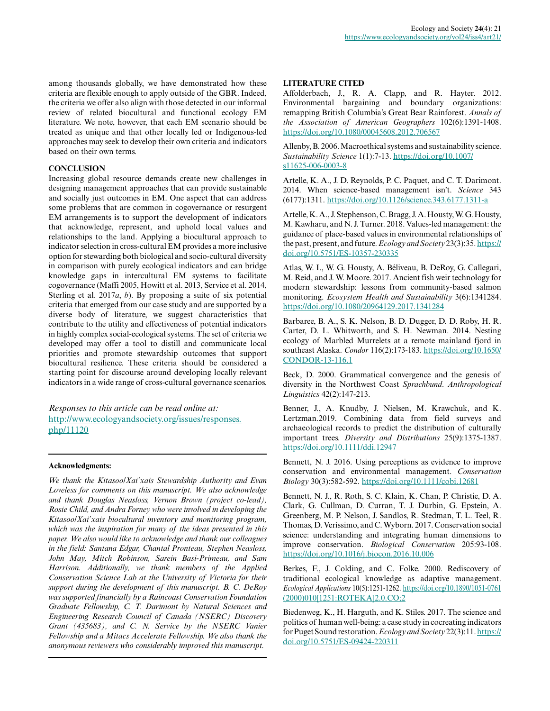among thousands globally, we have demonstrated how these criteria are flexible enough to apply outside of the GBR. Indeed, the criteria we offer also align with those detected in our informal review of related biocultural and functional ecology EM literature. We note, however, that each EM scenario should be treated as unique and that other locally led or Indigenous-led approaches may seek to develop their own criteria and indicators based on their own terms.

## **CONCLUSION**

Increasing global resource demands create new challenges in designing management approaches that can provide sustainable and socially just outcomes in EM. One aspect that can address some problems that are common in cogovernance or resurgent EM arrangements is to support the development of indicators that acknowledge, represent, and uphold local values and relationships to the land. Applying a biocultural approach to indicator selection in cross-cultural EM provides a more inclusive option for stewarding both biological and socio-cultural diversity in comparison with purely ecological indicators and can bridge knowledge gaps in intercultural EM systems to facilitate cogovernance (Maffi 2005, Howitt et al. 2013, Service et al. 2014, Sterling et al. 2017*a*, *b*). By proposing a suite of six potential criteria that emerged from our case study and are supported by a diverse body of literature, we suggest characteristics that contribute to the utility and effectiveness of potential indicators in highly complex social-ecological systems. The set of criteria we developed may offer a tool to distill and communicate local priorities and promote stewardship outcomes that support biocultural resilience. These criteria should be considered a starting point for discourse around developing locally relevant indicators in a wide range of cross-cultural governance scenarios.

*Responses to this article can be read online at:* [http://www.ecologyandsociety.org/issues/responses.](http://www.ecologyandsociety.org/issues/responses.php/11120) [php/11120](http://www.ecologyandsociety.org/issues/responses.php/11120)

## **Acknowledgments:**

*We thank the Kitasoo/Xai'xais Stewardship Authority and Evan Loveless for comments on this manuscript. We also acknowledge and thank Douglas Neasloss, Vernon Brown (project co-lead), Rosie Child, and Andra Forney who were involved in developing the Kitasoo/Xai'xais biocultural inventory and monitoring program, which was the inspiration for many of the ideas presented in this paper. We also would like to acknowledge and thank our colleagues in the field: Santana Edgar, Chantal Pronteau, Stephen Neasloss, John May, Mitch Robinson, Sarein Basi-Primeau, and Sam Harrison. Additionally, we thank members of the Applied Conservation Science Lab at the University of Victoria for their support during the development of this manuscript. B. C. DeRoy was supported financially by a Raincoast Conservation Foundation Graduate Fellowship, C. T. Darimont by Natural Sciences and Engineering Research Council of Canada (NSERC) Discovery Grant (435683), and C. N. Service by the NSERC Vanier Fellowship and a Mitacs Accelerate Fellowship. We also thank the anonymous reviewers who considerably improved this manuscript.*

## **LITERATURE CITED**

Affolderbach, J., R. A. Clapp, and R. Hayter. 2012. Environmental bargaining and boundary organizations: remapping British Columbia's Great Bear Rainforest. *Annals of the Association of American Geographers* 102(6):1391-1408. <https://doi.org/10.1080/00045608.2012.706567>

Allenby, B. 2006. Macroethical systems and sustainability science. *Sustainability Science* 1(1):7-13. [https://doi.org/10.1007/](https://doi.org/10.1007/s11625-006-0003-8) [s11625-006-0003-8](https://doi.org/10.1007/s11625-006-0003-8) 

Artelle, K. A., J. D. Reynolds, P. C. Paquet, and C. T. Darimont. 2014. When science-based management isn't. *Science* 343 (6177):1311.<https://doi.org/10.1126/science.343.6177.1311-a>

Artelle, K. A., J. Stephenson, C. Bragg, J. A. Housty, W. G. Housty, M. Kawharu, and N. J. Turner. 2018. Values-led management: the guidance of place-based values in environmental relationships of the past, present, and future. *Ecology and Society* 23(3):35. [https://](https://doi.org/10.5751/ES-10357-230335) [doi.org/10.5751/ES-10357-230335](https://doi.org/10.5751/ES-10357-230335)

Atlas, W. I., W. G. Housty, A. Béliveau, B. DeRoy, G. Callegari, M. Reid, and J. W. Moore. 2017. Ancient fish weir technology for modern stewardship: lessons from community-based salmon monitoring. *Ecosystem Health and Sustainability* 3(6):1341284. <https://doi.org/10.1080/20964129.2017.1341284>

Barbaree, B. A., S. K. Nelson, B. D. Dugger, D. D. Roby, H. R. Carter, D. L. Whitworth, and S. H. Newman. 2014. Nesting ecology of Marbled Murrelets at a remote mainland fjord in southeast Alaska. *Condor* 116(2):173-183. [https://doi.org/10.1650/](https://doi.org/10.1650/CONDOR-13-116.1) [CONDOR-13-116.1](https://doi.org/10.1650/CONDOR-13-116.1) 

Beck, D. 2000. Grammatical convergence and the genesis of diversity in the Northwest Coast *Sprachbund*. *Anthropological Linguistics* 42(2):147-213.

Benner, J., A. Knudby, J. Nielsen, M. Krawchuk, and K. Lertzman.2019. Combining data from field surveys and archaeological records to predict the distribution of culturally important trees. *Diversity and Distributions* 25(9):1375-1387. <https://doi.org/10.1111/ddi.12947>

Bennett, N. J. 2016. Using perceptions as evidence to improve conservation and environmental management. *Conservation Biology* 30(3):582-592. <https://doi.org/10.1111/cobi.12681>

Bennett, N. J., R. Roth, S. C. Klain, K. Chan, P. Christie, D. A. Clark, G. Cullman, D. Curran, T. J. Durbin, G. Epstein, A. Greenberg, M. P. Nelson, J. Sandlos, R. Stedman, T. L. Teel, R. Thomas, D. Veríssimo, and C. Wyborn. 2017. Conservation social science: understanding and integrating human dimensions to improve conservation. *Biological Conservation* 205:93-108. <https://doi.org/10.1016/j.biocon.2016.10.006>

Berkes, F., J. Colding, and C. Folke. 2000. Rediscovery of traditional ecological knowledge as adaptive management. *Ecological Applications* 10(5):1251-1262. [https://doi.org/10.1890/1051-0761](https://doi.org/10.1890/1051-0761(2000)010[1251:ROTEKA]2.0.CO;2) [\(2000\)010\[1251:ROTEKA\]2.0.CO;2](https://doi.org/10.1890/1051-0761(2000)010[1251:ROTEKA]2.0.CO;2)

Biedenweg, K., H. Harguth, and K. Stiles. 2017. The science and politics of human well-being: a case study in cocreating indicators for Puget Sound restoration. *Ecology and Society* 22(3):11. [https://](https://doi.org/10.5751/ES-09424-220311) [doi.org/10.5751/ES-09424-220311](https://doi.org/10.5751/ES-09424-220311)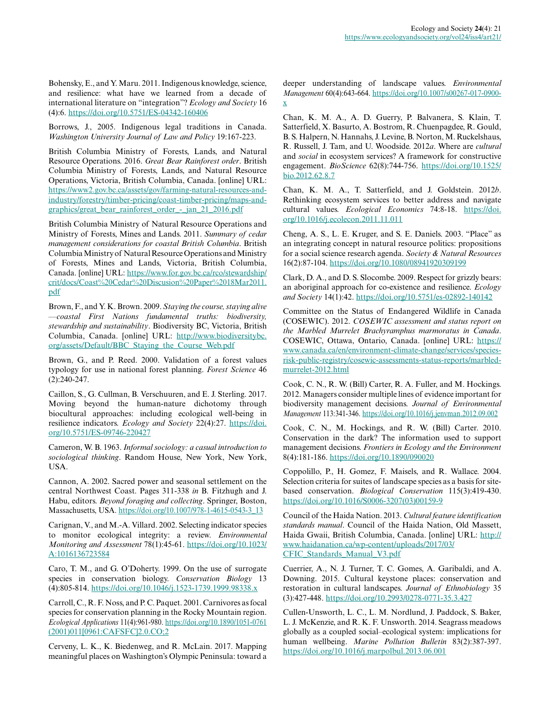Bohensky, E., and Y. Maru. 2011. Indigenous knowledge, science, and resilience: what have we learned from a decade of international literature on "integration"? *Ecology and Society* 16 (4):6.<https://doi.org/10.5751/ES-04342-160406>

Borrows, J., 2005. Indigenous legal traditions in Canada. *Washington University Journal of Law and Policy* 19:167-223.

British Columbia Ministry of Forests, Lands, and Natural Resource Operations. 2016. *Great Bear Rainforest order*. British Columbia Ministry of Forests, Lands, and Natural Resource Operations, Victoria, British Columbia, Canada. [online] URL: [https://www2.gov.bc.ca/assets/gov/farming-natural-resources-and](https://www2.gov.bc.ca/assets/gov/farming-natural-resources-and-industry/forestry/timber-pricing/coast-timber-pricing/maps-and-graphics/great_bear_rainforest_order_-_jan_21_2016.pdf)[industry/forestry/timber-pricing/coast-timber-pricing/maps-and](https://www2.gov.bc.ca/assets/gov/farming-natural-resources-and-industry/forestry/timber-pricing/coast-timber-pricing/maps-and-graphics/great_bear_rainforest_order_-_jan_21_2016.pdf)[graphics/great\\_bear\\_rainforest\\_order\\_-\\_jan\\_21\\_2016.pdf](https://www2.gov.bc.ca/assets/gov/farming-natural-resources-and-industry/forestry/timber-pricing/coast-timber-pricing/maps-and-graphics/great_bear_rainforest_order_-_jan_21_2016.pdf)

British Columbia Ministry of Natural Resource Operations and Ministry of Forests, Mines and Lands. 2011. *Summary of cedar management considerations for coastal British Columbia*. British Columbia Ministry of Natural Resource Operations and Ministry of Forests, Mines and Lands, Victoria, British Columbia, Canada. [online] URL: [https://www.for.gov.bc.ca/rco/stewardship/](https://www.for.gov.bc.ca/rco/stewardship/crit/docs/Coast%20Cedar%20Discusion%20Paper%2018Mar2011.pdf) [crit/docs/Coast%20Cedar%20Discusion%20Paper%2018Mar2011.](https://www.for.gov.bc.ca/rco/stewardship/crit/docs/Coast%20Cedar%20Discusion%20Paper%2018Mar2011.pdf) [pdf](https://www.for.gov.bc.ca/rco/stewardship/crit/docs/Coast%20Cedar%20Discusion%20Paper%2018Mar2011.pdf)

Brown, F., and Y. K. Brown. 2009. *Staying the course, staying alive —coastal First Nations fundamental truths: biodiversity, stewardship and sustainability*. Biodiversity BC, Victoria, British Columbia, Canada. [online] URL: [http://www.biodiversitybc.](http://www.biodiversitybc.org/assets/Default/BBC_Staying_the_Course_Web.pdf) [org/assets/Default/BBC\\_Staying\\_the\\_Course\\_Web.pdf](http://www.biodiversitybc.org/assets/Default/BBC_Staying_the_Course_Web.pdf)

Brown, G., and P. Reed. 2000. Validation of a forest values typology for use in national forest planning. *Forest Science* 46 (2):240-247.

Caillon, S., G. Cullman, B. Verschuuren, and E. J. Sterling. 2017. Moving beyond the human-nature dichotomy through biocultural approaches: including ecological well-being in resilience indicators. *Ecology and Society* 22(4):27. [https://doi.](https://doi.org/10.5751/ES-09746-220427) [org/10.5751/ES-09746-220427](https://doi.org/10.5751/ES-09746-220427) 

Cameron, W. B. 1963. *Informal sociology: a casual introduction to sociological thinking*. Random House, New York, New York, USA.

Cannon, A. 2002. Sacred power and seasonal settlement on the central Northwest Coast. Pages 311-338 *in* B. Fitzhugh and J. Habu, editors. *Beyond foraging and collecting*. Springer, Boston, Massachusetts, USA. [https://doi.org/10.1007/978-1-4615-0543-3\\_13](https://doi.org/10.1007/978-1-4615-0543-3_13) 

Carignan, V., and M.-A. Villard. 2002. Selecting indicator species to monitor ecological integrity: a review. *Environmental Monitoring and Assessment* 78(1):45-61. [https://doi.org/10.1023/](https://doi.org/10.1023/A:1016136723584) [A:1016136723584](https://doi.org/10.1023/A:1016136723584) 

Caro, T. M., and G. O'Doherty. 1999. On the use of surrogate species in conservation biology. *Conservation Biology* 13 (4):805-814. <https://doi.org/10.1046/j.1523-1739.1999.98338.x>

Carroll, C., R. F. Noss, and P. C. Paquet. 2001. Carnivores as focal species for conservation planning in the Rocky Mountain region. *Ecological Applications* 11(4):961-980. [https://doi.org/10.1890/1051-0761](https://doi.org/10.1890/1051-0761(2001)011[0961:CAFSFC]2.0.CO;2) [\(2001\)011\[0961:CAFSFC\]2.0.CO;2](https://doi.org/10.1890/1051-0761(2001)011[0961:CAFSFC]2.0.CO;2) 

Cerveny, L. K., K. Biedenweg, and R. McLain. 2017. Mapping meaningful places on Washington's Olympic Peninsula: toward a deeper understanding of landscape values. *Environmental Management* 60(4):643-664. [https://doi.org/10.1007/s00267-017-0900](https://doi.org/10.1007/s00267-017-0900-x) [x](https://doi.org/10.1007/s00267-017-0900-x) 

Chan, K. M. A., A. D. Guerry, P. Balvanera, S. Klain, T. Satterfield, X. Basurto, A. Bostrom, R. Chuenpagdee, R. Gould, B. S. Halpern, N. Hannahs, J. Levine, B. Norton, M. Ruckelshaus, R. Russell, J. Tam, and U. Woodside. 2012*a*. Where are *cultural* and *social* in ecosystem services? A framework for constructive engagement. *BioScience* 62(8):744-756. [https://doi.org/10.1525/](https://doi.org/10.1525/bio.2012.62.8.7) [bio.2012.62.8.7](https://doi.org/10.1525/bio.2012.62.8.7) 

Chan, K. M. A., T. Satterfield, and J. Goldstein. 2012*b*. Rethinking ecosystem services to better address and navigate cultural values. *Ecological Economics* 74:8-18. [https://doi.](https://doi.org/10.1016/j.ecolecon.2011.11.011) [org/10.1016/j.ecolecon.2011.11.011](https://doi.org/10.1016/j.ecolecon.2011.11.011) 

Cheng, A. S., L. E. Kruger, and S. E. Daniels. 2003. "Place" as an integrating concept in natural resource politics: propositions for a social science research agenda. *Society & Natural Resources* 16(2):87-104.<https://doi.org/10.1080/08941920309199>

Clark, D. A., and D. S. Slocombe. 2009. Respect for grizzly bears: an aboriginal approach for co-existence and resilience. *Ecology and Society* 14(1):42.<https://doi.org/10.5751/es-02892-140142>

Committee on the Status of Endangered Wildlife in Canada (COSEWIC). 2012. *COSEWIC assessment and status report on the Marbled Murrelet Brachyramphus marmoratus in Canada*. COSEWIC, Ottawa, Ontario, Canada. [online] URL: [https://](https://www.canada.ca/en/environment-climate-change/services/species-risk-public-registry/cosewic-assessments-status-reports/marbled-murrelet-2012.html) [www.canada.ca/en/environment-climate-change/services/species](https://www.canada.ca/en/environment-climate-change/services/species-risk-public-registry/cosewic-assessments-status-reports/marbled-murrelet-2012.html)[risk-public-registry/cosewic-assessments-status-reports/marbled](https://www.canada.ca/en/environment-climate-change/services/species-risk-public-registry/cosewic-assessments-status-reports/marbled-murrelet-2012.html)[murrelet-2012.html](https://www.canada.ca/en/environment-climate-change/services/species-risk-public-registry/cosewic-assessments-status-reports/marbled-murrelet-2012.html) 

Cook, C. N., R. W. (Bill) Carter, R. A. Fuller, and M. Hockings. 2012. Managers consider multiple lines of evidence important for biodiversity management decisions. *Journal of Environmental Management* 113:341-346.<https://doi.org/10.1016/j.jenvman.2012.09.002>

Cook, C. N., M. Hockings, and R. W. (Bill) Carter. 2010. Conservation in the dark? The information used to support management decisions. *Frontiers in Ecology and the Environment* 8(4):181-186.<https://doi.org/10.1890/090020>

Coppolillo, P., H. Gomez, F. Maisels, and R. Wallace. 2004. Selection criteria for suites of landscape species as a basis for sitebased conservation. *Biological Conservation* 115(3):419-430. [https://doi.org/10.1016/S0006-3207\(03\)00159-9](https://doi.org/10.1016/S0006-3207(03)00159-9) 

Council of the Haida Nation. 2013. *Cultural feature identification standards manual*. Council of the Haida Nation, Old Massett, Haida Gwaii, British Columbia, Canada. [online] URL: [http://](http://www.haidanation.ca/wp-content/uploads/2017/03/CFIC_Standards_Manual_V3.pdf) [www.haidanation.ca/wp-content/uploads/2017/03/](http://www.haidanation.ca/wp-content/uploads/2017/03/CFIC_Standards_Manual_V3.pdf) [CFIC\\_Standards\\_Manual\\_V3.pdf](http://www.haidanation.ca/wp-content/uploads/2017/03/CFIC_Standards_Manual_V3.pdf)

Cuerrier, A., N. J. Turner, T. C. Gomes, A. Garibaldi, and A. Downing. 2015. Cultural keystone places: conservation and restoration in cultural landscapes. *Journal of Ethnobiology* 35 (3):427-448. <https://doi.org/10.2993/0278-0771-35.3.427>

Cullen-Unsworth, L. C., L. M. Nordlund, J. Paddock, S. Baker, L. J. McKenzie, and R. K. F. Unsworth. 2014. Seagrass meadows globally as a coupled social–ecological system: implications for human wellbeing. *Marine Pollution Bulletin* 83(2):387-397. <https://doi.org/10.1016/j.marpolbul.2013.06.001>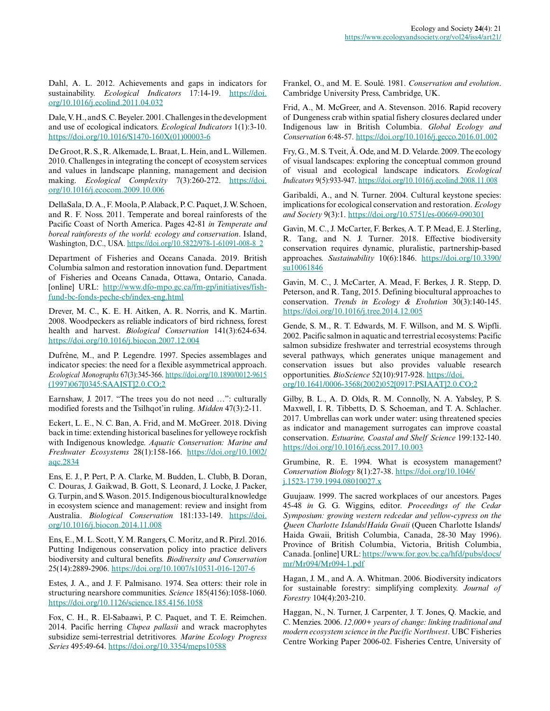Dahl, A. L. 2012. Achievements and gaps in indicators for sustainability. *Ecological Indicators* 17:14-19. [https://doi.](https://doi.org/10.1016/j.ecolind.2011.04.032) [org/10.1016/j.ecolind.2011.04.032](https://doi.org/10.1016/j.ecolind.2011.04.032) 

Dale, V. H., and S. C. Beyeler. 2001. Challenges in the development and use of ecological indicators. *Ecological Indicators* 1(1):3-10. [https://doi.org/10.1016/S1470-160X\(01\)00003-6](https://doi.org/10.1016/S1470-160X(01)00003-6)

De Groot, R. S., R. Alkemade, L. Braat, L. Hein, and L. Willemen. 2010. Challenges in integrating the concept of ecosystem services and values in landscape planning, management and decision making. *Ecological Complexity* 7(3):260-272. [https://doi.](https://doi.org/10.1016/j.ecocom.2009.10.006) [org/10.1016/j.ecocom.2009.10.006](https://doi.org/10.1016/j.ecocom.2009.10.006)

DellaSala, D. A., F. Moola, P. Alaback, P. C. Paquet, J. W. Schoen, and R. F. Noss. 2011. Temperate and boreal rainforests of the Pacific Coast of North America. Pages 42-81 *in Temperate and boreal rainforests of the world: ecology and conservation*. Island, Washington, D.C., USA. [https://doi.org/10.5822/978-1-61091-008-8\\_2](https://doi.org/10.5822/978-1-61091-008-8_2) 

Department of Fisheries and Oceans Canada. 2019. British Columbia salmon and restoration innovation fund. Department of Fisheries and Oceans Canada, Ottawa, Ontario, Canada. [online] URL: [http://www.dfo-mpo.gc.ca/fm-gp/initiatives/fish](http://www.dfo-mpo.gc.ca/fm-gp/initiatives/fish-fund-bc-fonds-peche-cb/index-eng.html)[fund-bc-fonds-peche-cb/index-eng.html](http://www.dfo-mpo.gc.ca/fm-gp/initiatives/fish-fund-bc-fonds-peche-cb/index-eng.html)

Drever, M. C., K. E. H. Aitken, A. R. Norris, and K. Martin. 2008. Woodpeckers as reliable indicators of bird richness, forest health and harvest. *Biological Conservation* 141(3):624-634. <https://doi.org/10.1016/j.biocon.2007.12.004>

Dufrêne, M., and P. Legendre. 1997. Species assemblages and indicator species: the need for a flexible asymmetrical approach. *Ecological Monographs* 67(3):345-366. [https://doi.org/10.1890/0012-9615](https://doi.org/10.1890/0012-9615(1997)067[0345:SAAIST]2.0.CO;2) [\(1997\)067\[0345:SAAIST\]2.0.CO;2](https://doi.org/10.1890/0012-9615(1997)067[0345:SAAIST]2.0.CO;2)

Earnshaw, J. 2017. "The trees you do not need …": culturally modified forests and the Tsilhqot'in ruling. *Midden* 47(3):2-11.

Eckert, L. E., N. C. Ban, A. Frid, and M. McGreer. 2018. Diving back in time: extending historical baselines for yelloweye rockfish with Indigenous knowledge. *Aquatic Conservation: Marine and Freshwater Ecosystems* 28(1):158-166. [https://doi.org/10.1002/](https://doi.org/10.1002/aqc.2834) [aqc.2834](https://doi.org/10.1002/aqc.2834) 

Ens, E. J., P. Pert, P. A. Clarke, M. Budden, L. Clubb, B. Doran, C. Douras, J. Gaikwad, B. Gott, S. Leonard, J. Locke, J. Packer, G. Turpin, and S. Wason. 2015. Indigenous biocultural knowledge in ecosystem science and management: review and insight from Australia. *Biological Conservation* 181:133-149. [https://doi.](https://doi.org/10.1016/j.biocon.2014.11.008) [org/10.1016/j.biocon.2014.11.008](https://doi.org/10.1016/j.biocon.2014.11.008)

Ens, E., M. L. Scott, Y. M. Rangers, C. Moritz, and R. Pirzl. 2016. Putting Indigenous conservation policy into practice delivers biodiversity and cultural benefits. *Biodiversity and Conservation* 25(14):2889-2906.<https://doi.org/10.1007/s10531-016-1207-6>

Estes, J. A., and J. F. Palmisano. 1974. Sea otters: their role in structuring nearshore communities. *Science* 185(4156):1058-1060. <https://doi.org/10.1126/science.185.4156.1058>

Fox, C. H., R. El-Sabaawi, P. C. Paquet, and T. E. Reimchen. 2014. Pacific herring *Clupea pallasii* and wrack macrophytes subsidize semi-terrestrial detritivores. *Marine Ecology Progress Series* 495:49-64. <https://doi.org/10.3354/meps10588>

Frankel, O., and M. E. Soulé. 1981. *Conservation and evolution*. Cambridge University Press, Cambridge, UK.

Frid, A., M. McGreer, and A. Stevenson. 2016. Rapid recovery of Dungeness crab within spatial fishery closures declared under Indigenous law in British Columbia. *Global Ecology and Conservation* 6:48-57.<https://doi.org/10.1016/j.gecco.2016.01.002>

Fry, G., M. S. Tveit, Å. Ode, and M. D. Velarde. 2009. The ecology of visual landscapes: exploring the conceptual common ground of visual and ecological landscape indicators. *Ecological Indicators* 9(5):933-947.<https://doi.org/10.1016/j.ecolind.2008.11.008>

Garibaldi, A., and N. Turner. 2004. Cultural keystone species: implications for ecological conservation and restoration. *Ecology and Society* 9(3):1.<https://doi.org/10.5751/es-00669-090301>

Gavin, M. C., J. McCarter, F. Berkes, A. T. P. Mead, E. J. Sterling, R. Tang, and N. J. Turner. 2018. Effective biodiversity conservation requires dynamic, pluralistic, partnership-based approaches. *Sustainability* 10(6):1846. [https://doi.org/10.3390/](https://doi.org/10.3390/su10061846) [su10061846](https://doi.org/10.3390/su10061846)

Gavin, M. C., J. McCarter, A. Mead, F. Berkes, J. R. Stepp, D. Peterson, and R. Tang, 2015. Defining biocultural approaches to conservation. *Trends in Ecology & Evolution* 30(3):140-145. <https://doi.org/10.1016/j.tree.2014.12.005>

Gende, S. M., R. T. Edwards, M. F. Willson, and M. S. Wipfli. 2002. Pacific salmon in aquatic and terrestrial ecosystems: Pacific salmon subsidize freshwater and terrestrial ecosystems through several pathways, which generates unique management and conservation issues but also provides valuable research opportunities. *BioScience* 52(10):917-928. [https://doi.](https://doi.org/10.1641/0006-3568(2002)052[0917:PSIAAT]2.0.CO;2) [org/10.1641/0006-3568\(2002\)052\[0917:PSIAAT\]2.0.CO;2](https://doi.org/10.1641/0006-3568(2002)052[0917:PSIAAT]2.0.CO;2)

Gilby, B. L., A. D. Olds, R. M. Connolly, N. A. Yabsley, P. S. Maxwell, I. R. Tibbetts, D. S. Schoeman, and T. A. Schlacher. 2017. Umbrellas can work under water: using threatened species as indicator and management surrogates can improve coastal conservation. *Estuarine, Coastal and Shelf Science* 199:132-140. <https://doi.org/10.1016/j.ecss.2017.10.003>

Grumbine, R. E. 1994. What is ecosystem management? *Conservation Biology* 8(1):27-38. [https://doi.org/10.1046/](https://doi.org/10.1046/j.1523-1739.1994.08010027.x) [j.1523-1739.1994.08010027.x](https://doi.org/10.1046/j.1523-1739.1994.08010027.x) 

Guujaaw. 1999. The sacred workplaces of our ancestors. Pages 45-48 *in* G. G. Wiggins, editor. *Proceedings of the Cedar Symposium: growing western redcedar and yellow-cypress on the Queen Charlotte Islands/Haida Gwaii* (Queen Charlotte Islands/ Haida Gwaii, British Columbia, Canada, 28-30 May 1996). Province of British Columbia, Victoria, British Columbia, Canada. [online] URL: [https://www.for.gov.bc.ca/hfd/pubs/docs/](https://www.for.gov.bc.ca/hfd/pubs/docs/mr/Mr094/Mr094-1.pdf) [mr/Mr094/Mr094-1.pdf](https://www.for.gov.bc.ca/hfd/pubs/docs/mr/Mr094/Mr094-1.pdf)

Hagan, J. M., and A. A. Whitman. 2006. Biodiversity indicators for sustainable forestry: simplifying complexity. *Journal of Forestry* 104(4):203-210.

Haggan, N., N. Turner, J. Carpenter, J. T. Jones, Q. Mackie, and C. Menzies. 2006. *12,000+ years of change: linking traditional and modern ecosystem science in the Pacific Northwest*. UBC Fisheries Centre Working Paper 2006-02. Fisheries Centre, University of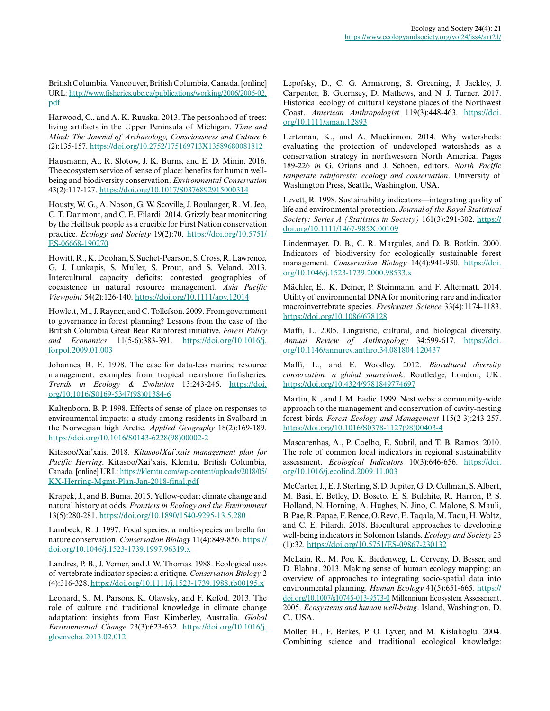British Columbia, Vancouver, British Columbia, Canada. [online] URL: [http://www.fisheries.ubc.ca/publications/working/2006/2006-02.](http://www.fisheries.ubc.ca/publications/working/2006/2006-02.pdf) [pdf](http://www.fisheries.ubc.ca/publications/working/2006/2006-02.pdf)

Harwood, C., and A. K. Ruuska. 2013. The personhood of trees: living artifacts in the Upper Peninsula of Michigan. *Time and Mind: The Journal of Archaeology, Consciousness and Culture* 6 (2):135-157.<https://doi.org/10.2752/175169713X13589680081812>

Hausmann, A., R. Slotow, J. K. Burns, and E. D. Minin. 2016. The ecosystem service of sense of place: benefits for human wellbeing and biodiversity conservation. *Environmental Conservation* 43(2):117-127. <https://doi.org/10.1017/S0376892915000314>

Housty, W. G., A. Noson, G. W. Scoville, J. Boulanger, R. M. Jeo, C. T. Darimont, and C. E. Filardi. 2014. Grizzly bear monitoring by the Heiltsuk people as a crucible for First Nation conservation practice. *Ecology and Society* 19(2):70. [https://doi.org/10.5751/](https://doi.org/10.5751/ES-06668-190270) [ES-06668-190270](https://doi.org/10.5751/ES-06668-190270)

Howitt, R., K. Doohan, S. Suchet‐Pearson, S. Cross, R. Lawrence, G. J. Lunkapis, S. Muller, S. Prout, and S. Veland. 2013. Intercultural capacity deficits: contested geographies of coexistence in natural resource management. *Asia Pacific Viewpoint* 54(2):126-140.<https://doi.org/10.1111/apv.12014>

Howlett, M., J. Rayner, and C. Tollefson. 2009. From government to governance in forest planning? Lessons from the case of the British Columbia Great Bear Rainforest initiative. *Forest Policy and Economics* 11(5-6):383-391. [https://doi.org/10.1016/j.](https://doi.org/10.1016/j.forpol.2009.01.003) [forpol.2009.01.003](https://doi.org/10.1016/j.forpol.2009.01.003)

Johannes, R. E. 1998. The case for data-less marine resource management: examples from tropical nearshore finfisheries. *Trends in Ecology & Evolution* 13:243-246. [https://doi.](https://doi.org/10.1016/S0169-5347(98)01384-6) [org/10.1016/S0169-5347\(98\)01384-6](https://doi.org/10.1016/S0169-5347(98)01384-6)

Kaltenborn, B. P. 1998. Effects of sense of place on responses to environmental impacts: a study among residents in Svalbard in the Norwegian high Arctic. *Applied Geography* 18(2):169-189. [https://doi.org/10.1016/S0143-6228\(98\)00002-2](https://doi.org/10.1016/S0143-6228(98)00002-2) 

Kitasoo/Xai'xais. 2018. *Kitasoo/Xai'xais management plan for Pacific Herring*. Kitasoo/Xai'xais, Klemtu, British Columbia, Canada. [online] URL: [https://klemtu.com/wp-content/uploads/2018/05/](https://klemtu.com/wp-content/uploads/2018/05/KX-Herring-Mgmt-Plan-Jan-2018-final.pdf) [KX-Herring-Mgmt-Plan-Jan-2018-final.pdf](https://klemtu.com/wp-content/uploads/2018/05/KX-Herring-Mgmt-Plan-Jan-2018-final.pdf)

Krapek, J., and B. Buma. 2015. Yellow-cedar: climate change and natural history at odds. *Frontiers in Ecology and the Environment* 13(5):280-281. <https://doi.org/10.1890/1540-9295-13.5.280>

Lambeck, R. J. 1997. Focal species: a multi-species umbrella for nature conservation. *Conservation Biology* 11(4):849-856. [https://](https://doi.org/10.1046/j.1523-1739.1997.96319.x) [doi.org/10.1046/j.1523-1739.1997.96319.x](https://doi.org/10.1046/j.1523-1739.1997.96319.x)

Landres, P. B., J. Verner, and J. W. Thomas. 1988. Ecological uses of vertebrate indicator species: a critique. *Conservation Biology* 2 (4):316-328.<https://doi.org/10.1111/j.1523-1739.1988.tb00195.x>

Leonard, S., M. Parsons, K. Olawsky, and F. Kofod. 2013. The role of culture and traditional knowledge in climate change adaptation: insights from East Kimberley, Australia. *Global Environmental Change* 23(3):623-632. [https://doi.org/10.1016/j.](https://doi.org/10.1016/j.gloenvcha.2013.02.012) [gloenvcha.2013.02.012](https://doi.org/10.1016/j.gloenvcha.2013.02.012)

Lepofsky, D., C. G. Armstrong, S. Greening, J. Jackley, J. Carpenter, B. Guernsey, D. Mathews, and N. J. Turner. 2017. Historical ecology of cultural keystone places of the Northwest Coast. *American Anthropologist* 119(3):448-463. [https://doi.](https://doi.org/10.1111/aman.12893) [org/10.1111/aman.12893](https://doi.org/10.1111/aman.12893) 

Lertzman, K., and A. Mackinnon. 2014. Why watersheds: evaluating the protection of undeveloped watersheds as a conservation strategy in northwestern North America. Pages 189-226 *in* G. Orians and J. Schoen, editors. *North Pacific temperate rainforests: ecology and conservation*. University of Washington Press, Seattle, Washington, USA.

Levett, R. 1998. Sustainability indicators—integrating quality of life and environmental protection. *Journal of the Royal Statistical Society: Series A (Statistics in Society)* 161(3):291-302. [https://](https://doi.org/10.1111/1467-985X.00109) [doi.org/10.1111/1467-985X.00109](https://doi.org/10.1111/1467-985X.00109)

Lindenmayer, D. B., C. R. Margules, and D. B. Botkin. 2000. Indicators of biodiversity for ecologically sustainable forest management. *Conservation Biology* 14(4):941-950. [https://doi.](https://doi.org/10.1046/j.1523-1739.2000.98533.x) [org/10.1046/j.1523-1739.2000.98533.x](https://doi.org/10.1046/j.1523-1739.2000.98533.x)

Mächler, E., K. Deiner, P. Steinmann, and F. Altermatt. 2014. Utility of environmental DNA for monitoring rare and indicator macroinvertebrate species. *Freshwater Science* 33(4):1174-1183. <https://doi.org/10.1086/678128>

Maffi, L. 2005. Linguistic, cultural, and biological diversity. *Annual Review of Anthropology* 34:599-617. [https://doi.](https://doi.org/10.1146/annurev.anthro.34.081804.120437) [org/10.1146/annurev.anthro.34.081804.120437](https://doi.org/10.1146/annurev.anthro.34.081804.120437)

Maffi, L., and E. Woodley. 2012. *Biocultural diversity conservation: a global sourcebook*. Routledge, London, UK. <https://doi.org/10.4324/9781849774697>

Martin, K., and J. M. Eadie. 1999. Nest webs: a community-wide approach to the management and conservation of cavity-nesting forest birds. *Forest Ecology and Management* 115(2-3):243-257. [https://doi.org/10.1016/S0378-1127\(98\)00403-4](https://doi.org/10.1016/S0378-1127(98)00403-4) 

Mascarenhas, A., P. Coelho, E. Subtil, and T. B. Ramos. 2010. The role of common local indicators in regional sustainability assessment. *Ecological Indicators* 10(3):646-656. [https://doi.](https://doi.org/10.1016/j.ecolind.2009.11.003) [org/10.1016/j.ecolind.2009.11.003](https://doi.org/10.1016/j.ecolind.2009.11.003) 

McCarter, J., E. J. Sterling, S. D. Jupiter, G. D. Cullman, S. Albert, M. Basi, E. Betley, D. Boseto, E. S. Bulehite, R. Harron, P. S. Holland, N. Horning, A. Hughes, N. Jino, C. Malone, S. Mauli, B. Pae, R. Papae, F. Rence, O. Revo, E. Taqala, M. Taqu, H. Woltz, and C. E. Filardi. 2018. Biocultural approaches to developing well-being indicators in Solomon Islands. *Ecology and Society* 23 (1):32. <https://doi.org/10.5751/ES-09867-230132>

McLain, R., M. Poe, K. Biedenweg, L. Cerveny, D. Besser, and D. Blahna. 2013. Making sense of human ecology mapping: an overview of approaches to integrating socio-spatial data into environmental planning. *Human Ecology* 41(5):651-665. [https://](https://doi.org/10.1007/s10745-013-9573-0) [doi.org/10.1007/s10745-013-9573-0](https://doi.org/10.1007/s10745-013-9573-0) Millennium Ecosystem Assessment. 2005. *Ecosystems and human well-being*. Island, Washington, D. C., USA.

Moller, H., F. Berkes, P. O. Lyver, and M. Kislalioglu. 2004. Combining science and traditional ecological knowledge: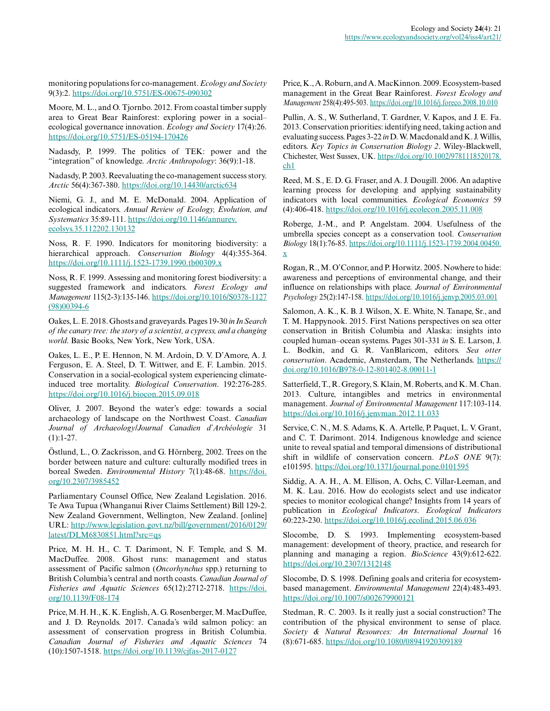monitoring populations for co-management. *Ecology and Society* 9(3):2. <https://doi.org/10.5751/ES-00675-090302>

Moore, M. L., and O. Tjornbo. 2012. From coastal timber supply area to Great Bear Rainforest: exploring power in a social– ecological governance innovation. *Ecology and Society* 17(4):26. <https://doi.org/10.5751/ES-05194-170426>

Nadasdy, P. 1999. The politics of TEK: power and the "integration" of knowledge. *Arctic Anthropology*: 36(9):1-18.

Nadasdy, P. 2003. Reevaluating the co-management success story. *Arctic* 56(4):367-380. <https://doi.org/10.14430/arctic634>

Niemi, G. J., and M. E. McDonald. 2004. Application of ecological indicators. *Annual Review of Ecology, Evolution, and Systematics* 35:89-111. [https://doi.org/10.1146/annurev.](https://doi.org/10.1146/annurev.ecolsys.35.112202.130132) [ecolsys.35.112202.130132](https://doi.org/10.1146/annurev.ecolsys.35.112202.130132)

Noss, R. F. 1990. Indicators for monitoring biodiversity: a hierarchical approach. *Conservation Biology* 4(4):355-364. <https://doi.org/10.1111/j.1523-1739.1990.tb00309.x>

Noss, R. F. 1999. Assessing and monitoring forest biodiversity: a suggested framework and indicators. *Forest Ecology and Management* 115(2-3):135-146. [https://doi.org/10.1016/S0378-1127](https://doi.org/10.1016/S0378-1127(98)00394-6) [\(98\)00394-6](https://doi.org/10.1016/S0378-1127(98)00394-6) 

Oakes, L. E. 2018. Ghosts and graveyards. Pages 19-30 *in In Search of the canary tree: the story of a scientist, a cypress, and a changing world*. Basic Books, New York, New York, USA.

Oakes, L. E., P. E. Hennon, N. M. Ardoin, D. V. D'Amore, A. J. Ferguson, E. A. Steel, D. T. Wittwer, and E. F. Lambin. 2015. Conservation in a social-ecological system experiencing climateinduced tree mortality. *Biological Conservation*. 192:276-285. <https://doi.org/10.1016/j.biocon.2015.09.018>

Oliver, J. 2007. Beyond the water's edge: towards a social archaeology of landscape on the Northwest Coast. *Canadian Journal of Archaeology/Journal Canadien d'Archéologie* 31  $(1):1-27.$ 

Östlund, L., O. Zackrisson, and G. Hörnberg, 2002. Trees on the border between nature and culture: culturally modified trees in boreal Sweden. *Environmental History* 7(1):48-68. [https://doi.](https://doi.org/10.2307/3985452) [org/10.2307/3985452](https://doi.org/10.2307/3985452) 

Parliamentary Counsel Office, New Zealand Legislation. 2016. Te Awa Tupua (Whanganui River Claims Settlement) Bill 129-2. New Zealand Government, Wellington, New Zealand. [online] URL: [http://www.legislation.govt.nz/bill/government/2016/0129/](http://www.legislation.govt.nz/bill/government/2016/0129/latest/DLM6830851.html?src=qs) [latest/DLM6830851.html?src=qs](http://www.legislation.govt.nz/bill/government/2016/0129/latest/DLM6830851.html?src=qs)

Price, M. H. H., C. T. Darimont, N. F. Temple, and S. M. MacDuffee. 2008. Ghost runs: management and status assessment of Pacific salmon (*Oncorhynchus* spp.) returning to British Columbia's central and north coasts. *Canadian Journal of Fisheries and Aquatic Sciences* 65(12):2712-2718. [https://doi.](https://doi.org/10.1139/F08-174) [org/10.1139/F08-174](https://doi.org/10.1139/F08-174) 

Price, M. H. H., K. K. English, A. G. Rosenberger, M. MacDuffee, and J. D. Reynolds. 2017. Canada's wild salmon policy: an assessment of conservation progress in British Columbia. *Canadian Journal of Fisheries and Aquatic Sciences* 74 (10):1507-1518.<https://doi.org/10.1139/cjfas-2017-0127>

Price, K., A. Roburn, and A. MacKinnon. 2009. Ecosystem-based management in the Great Bear Rainforest. *Forest Ecology and Management* 258(4):495-503. <https://doi.org/10.1016/j.foreco.2008.10.010>

Pullin, A. S., W. Sutherland, T. Gardner, V. Kapos, and J. E. Fa. 2013. Conservation priorities: identifying need, taking action and evaluating success. Pages 3-22 *in* D. W. Macdonald and K. J. Willis, editors. *Key Topics in Conservation Biology 2*. Wiley-Blackwell, Chichester, West Sussex, UK. [https://doi.org/10.1002/9781118520178.](https://doi.org/10.1002/9781118520178.ch1) [ch1](https://doi.org/10.1002/9781118520178.ch1)

Reed, M. S., E. D. G. Fraser, and A. J. Dougill. 2006. An adaptive learning process for developing and applying sustainability indicators with local communities. *Ecological Economics* 59 (4):406-418. <https://doi.org/10.1016/j.ecolecon.2005.11.008>

Roberge, J.-M., and P. Angelstam. 2004. Usefulness of the umbrella species concept as a conservation tool. *Conservation Biology* 18(1):76-85. [https://doi.org/10.1111/j.1523-1739.2004.00450.](https://doi.org/10.1111/j.1523-1739.2004.00450.x) [x](https://doi.org/10.1111/j.1523-1739.2004.00450.x) 

Rogan, R., M. O'Connor, and P. Horwitz. 2005. Nowhere to hide: awareness and perceptions of environmental change, and their influence on relationships with place. *Journal of Environmental Psychology* 25(2):147-158.<https://doi.org/10.1016/j.jenvp.2005.03.001>

Salomon, A. K., K. B. J. Wilson, X. E. White, N. Tanape, Sr., and T. M. Happynook. 2015. First Nations perspectives on sea otter conservation in British Columbia and Alaska: insights into coupled human–ocean systems. Pages 301-331 *in* S. E. Larson, J. L. Bodkin, and G. R. VanBlaricom, editors. *Sea otter conservation*. Academic, Amsterdam, The Netherlands. [https://](https://doi.org/10.1016/B978-0-12-801402-8.00011-1) [doi.org/10.1016/B978-0-12-801402-8.00011-1](https://doi.org/10.1016/B978-0-12-801402-8.00011-1) 

Satterfield, T., R. Gregory, S. Klain, M. Roberts, and K. M. Chan. 2013. Culture, intangibles and metrics in environmental management. *Journal of Environmental Management* 117:103-114. <https://doi.org/10.1016/j.jenvman.2012.11.033>

Service, C. N., M. S. Adams, K. A. Artelle, P. Paquet, L. V. Grant, and C. T. Darimont. 2014. Indigenous knowledge and science unite to reveal spatial and temporal dimensions of distributional shift in wildlife of conservation concern. *PLoS ONE* 9(7): e101595. <https://doi.org/10.1371/journal.pone.0101595>

Siddig, A. A. H., A. M. Ellison, A. Ochs, C. Villar-Leeman, and M. K. Lau. 2016. How do ecologists select and use indicator species to monitor ecological change? Insights from 14 years of publication in *Ecological Indicators*. *Ecological Indicators* 60:223-230.<https://doi.org/10.1016/j.ecolind.2015.06.036>

Slocombe, D. S. 1993. Implementing ecosystem-based management: development of theory, practice, and research for planning and managing a region. *BioScience* 43(9):612-622. <https://doi.org/10.2307/1312148>

Slocombe, D. S. 1998. Defining goals and criteria for ecosystembased management. *Environmental Management* 22(4):483-493. <https://doi.org/10.1007/s002679900121>

Stedman, R. C. 2003. Is it really just a social construction? The contribution of the physical environment to sense of place. *Society & Natural Resources: An International Journal* 16 (8):671-685. <https://doi.org/10.1080/08941920309189>